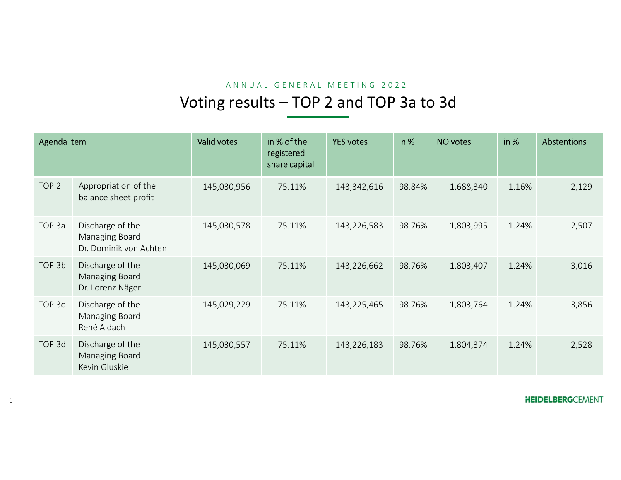|                  |                                                              | Voting results - TOP 2 and TOP 3a to 3d |                                            | ANNUAL GENERAL MEETING 2022 |        |           |       |             |
|------------------|--------------------------------------------------------------|-----------------------------------------|--------------------------------------------|-----------------------------|--------|-----------|-------|-------------|
|                  |                                                              |                                         |                                            |                             |        |           |       |             |
| Agenda item      |                                                              | Valid votes                             | in % of the<br>registered<br>share capital | <b>YES votes</b>            | in %   | NO votes  | in %  | Abstentions |
| TOP <sub>2</sub> | Appropriation of the<br>balance sheet profit                 | 145,030,956                             | 75.11%                                     | 143,342,616                 | 98.84% | 1,688,340 | 1.16% | 2,129       |
| TOP 3a           | Discharge of the<br>Managing Board<br>Dr. Dominik von Achten | 145,030,578                             | 75.11%                                     | 143,226,583                 | 98.76% | 1,803,995 | 1.24% | 2,507       |
| TOP 3b           | Discharge of the<br>Managing Board<br>Dr. Lorenz Näger       | 145,030,069                             | 75.11%                                     | 143,226,662                 | 98.76% | 1,803,407 | 1.24% | 3,016       |
| TOP 3c           | Discharge of the<br>Managing Board<br>René Aldach            | 145,029,229                             | 75.11%                                     | 143,225,465                 | 98.76% | 1,803,764 | 1.24% | 3,856       |
| TOP 3d           | Discharge of the<br>Managing Board<br>Kevin Gluskie          | 145,030,557                             | 75.11%                                     | 143,226,183                 | 98.76% | 1,804,374 | 1.24% | 2,528       |
|                  |                                                              |                                         |                                            |                             |        |           |       |             |

1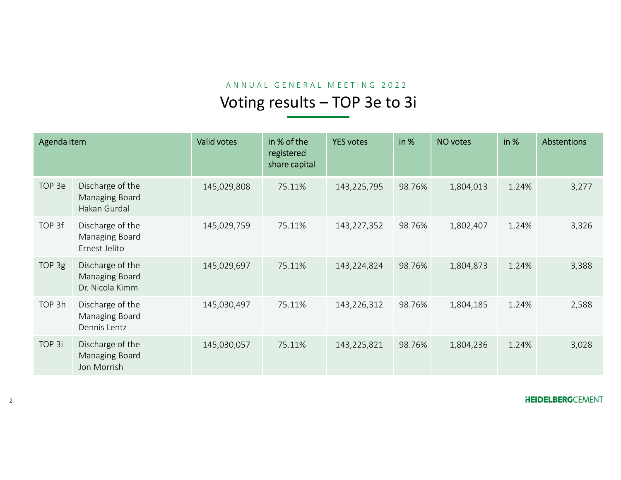|             |                                                       |             |                             | ANNUAL GENERAL MEETING 2022<br>Voting results - TOP 3e to 3i |        |           |       |                          |
|-------------|-------------------------------------------------------|-------------|-----------------------------|--------------------------------------------------------------|--------|-----------|-------|--------------------------|
| Agenda item |                                                       | Valid votes | in % of the                 | <b>YES votes</b>                                             | in %   | NO votes  | in %  | <b>Abstentions</b>       |
|             |                                                       |             | registered<br>share capital |                                                              |        |           |       |                          |
| TOP 3e      | Discharge of the<br>Managing Board<br>Hakan Gurdal    | 145,029,808 | 75.11%                      | 143,225,795                                                  | 98.76% | 1,804,013 | 1.24% | 3,277                    |
| TOP 3f      | Discharge of the<br>Managing Board<br>Ernest Jelito   | 145,029,759 | 75.11%                      | 143,227,352                                                  | 98.76% | 1,802,407 | 1.24% | 3,326                    |
| TOP 3g      | Discharge of the<br>Managing Board<br>Dr. Nicola Kimm | 145,029,697 | 75.11%                      | 143,224,824                                                  | 98.76% | 1,804,873 | 1.24% | 3,388                    |
| TOP 3h      | Discharge of the<br>Managing Board<br>Dennis Lentz    | 145,030,497 | 75.11%                      | 143,226,312                                                  | 98.76% | 1,804,185 | 1.24% | 2,588                    |
| TOP 3i      | Discharge of the<br>Managing Board<br>Jon Morrish     | 145,030,057 | 75.11%                      | 143,225,821                                                  | 98.76% | 1,804,236 | 1.24% | 3,028                    |
|             |                                                       |             |                             |                                                              |        |           |       | <b>HEIDELBERG</b> CEMENT |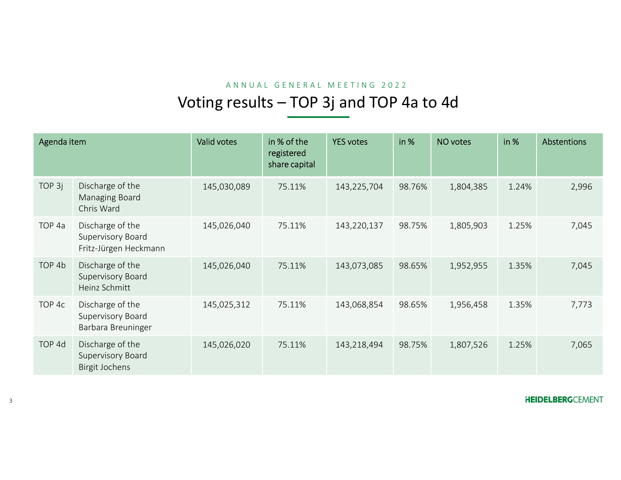|                   |                                                                | Voting results - TOP 3j and TOP 4a to 4d |                                            | ANNUAL GENERAL MEETING 2022 |        |           |       |                         |
|-------------------|----------------------------------------------------------------|------------------------------------------|--------------------------------------------|-----------------------------|--------|-----------|-------|-------------------------|
|                   |                                                                |                                          |                                            |                             |        |           |       |                         |
| Agenda item       |                                                                | Valid votes                              | in % of the<br>registered<br>share capital | <b>YES votes</b>            | in %   | NO votes  | in %  | Abstentions             |
| TOP 3j            | Discharge of the<br>Managing Board<br>Chris Ward               | 145,030,089                              | 75.11%                                     | 143,225,704                 | 98.76% | 1,804,385 | 1.24% | 2,996                   |
| TOP <sub>4a</sub> | Discharge of the<br>Supervisory Board<br>Fritz-Jürgen Heckmann | 145,026,040                              | 75.11%                                     | 143,220,137                 | 98.75% | 1,805,903 | 1.25% | 7,045                   |
| TOP 4b            | Discharge of the<br>Supervisory Board<br>Heinz Schmitt         | 145,026,040                              | 75.11%                                     | 143,073,085                 | 98.65% | 1,952,955 | 1.35% | 7,045                   |
| TOP 4c            | Discharge of the<br>Supervisory Board<br>Barbara Breuninger    | 145,025,312                              | 75.11%                                     | 143,068,854                 | 98.65% | 1,956,458 | 1.35% | 7,773                   |
| TOP 4d            | Discharge of the<br>Supervisory Board<br><b>Birgit Jochens</b> | 145,026,020                              | 75.11%                                     | 143,218,494                 | 98.75% | 1,807,526 | 1.25% | 7,065                   |
|                   |                                                                |                                          |                                            |                             |        |           |       | <b>HEIDELBERGCEMENT</b> |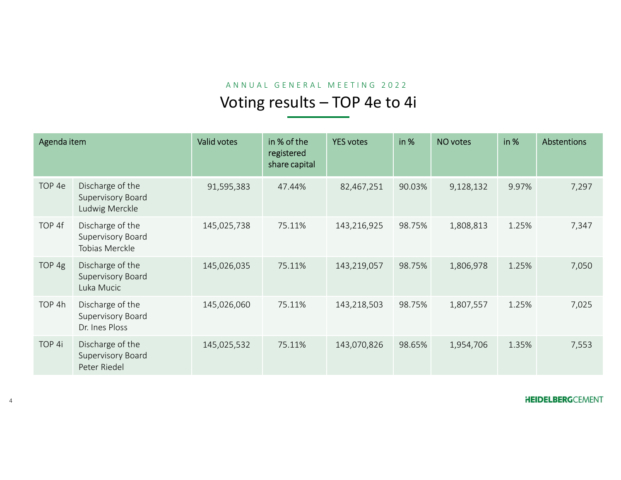|             |                                                         |             |                                            | ANNUAL GENERAL MEETING 2022   |        |           |       |                         |
|-------------|---------------------------------------------------------|-------------|--------------------------------------------|-------------------------------|--------|-----------|-------|-------------------------|
|             |                                                         |             |                                            | Voting results - TOP 4e to 4i |        |           |       |                         |
| Agenda item |                                                         | Valid votes | in % of the<br>registered<br>share capital | <b>YES votes</b>              | in %   | NO votes  | in %  | Abstentions             |
| TOP 4e      | Discharge of the<br>Supervisory Board<br>Ludwig Merckle | 91,595,383  | 47.44%                                     | 82,467,251                    | 90.03% | 9,128,132 | 9.97% | 7,297                   |
| TOP 4f      | Discharge of the<br>Supervisory Board<br>Tobias Merckle | 145,025,738 | 75.11%                                     | 143,216,925                   | 98.75% | 1,808,813 | 1.25% | 7,347                   |
| TOP 4g      | Discharge of the<br>Supervisory Board<br>Luka Mucic     | 145,026,035 | 75.11%                                     | 143,219,057                   | 98.75% | 1,806,978 | 1.25% | 7,050                   |
| TOP 4h      | Discharge of the<br>Supervisory Board<br>Dr. Ines Ploss | 145,026,060 | 75.11%                                     | 143,218,503                   | 98.75% | 1,807,557 | 1.25% | 7,025                   |
| TOP 4i      | Discharge of the<br>Supervisory Board<br>Peter Riedel   | 145,025,532 | 75.11%                                     | 143,070,826                   | 98.65% | 1,954,706 | 1.35% | 7,553                   |
|             |                                                         |             |                                            |                               |        |           |       | <b>HEIDELBERGCEMENT</b> |

4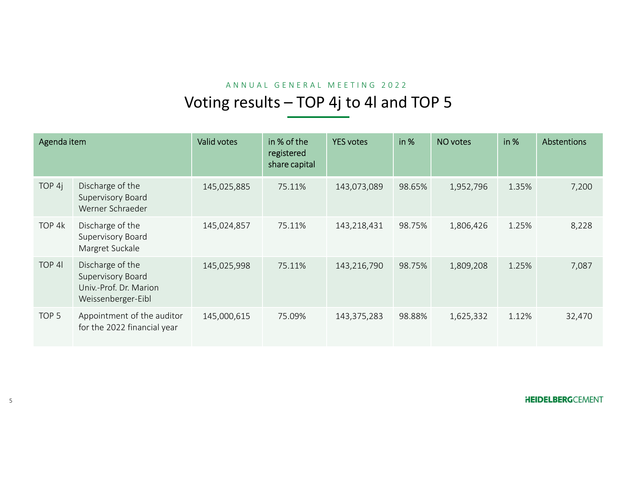# ANNUAL GENERAL MEETING 2022<br>
Second to 4 and TOP 5

|                  |                                                                                       |                                         |                                            | ANNUAL GENERAL MEETING 2022 |        |           |       |             |
|------------------|---------------------------------------------------------------------------------------|-----------------------------------------|--------------------------------------------|-----------------------------|--------|-----------|-------|-------------|
|                  |                                                                                       | Voting results - TOP 4j to 4l and TOP 5 |                                            |                             |        |           |       |             |
| Agenda item      |                                                                                       | Valid votes                             | in % of the<br>registered<br>share capital | <b>YES votes</b>            | in %   | NO votes  | in %  | Abstentions |
| TOP 4j           | Discharge of the<br>Supervisory Board<br>Werner Schraeder                             | 145,025,885                             | 75.11%                                     | 143,073,089                 | 98.65% | 1,952,796 | 1.35% | 7,200       |
| TOP 4k           | Discharge of the<br>Supervisory Board<br>Margret Suckale                              | 145,024,857                             | 75.11%                                     | 143,218,431                 | 98.75% | 1,806,426 | 1.25% | 8,228       |
| TOP 41           | Discharge of the<br>Supervisory Board<br>Univ.-Prof. Dr. Marion<br>Weissenberger-Eibl | 145,025,998                             | 75.11%                                     | 143,216,790                 | 98.75% | 1,809,208 | 1.25% | 7,087       |
| TOP <sub>5</sub> | Appointment of the auditor<br>for the 2022 financial year                             | 145,000,615                             | 75.09%                                     | 143,375,283                 | 98.88% | 1,625,332 | 1.12% | 32,470      |
|                  |                                                                                       |                                         |                                            |                             |        |           |       |             |

**HEIDELBERGCEMENT**